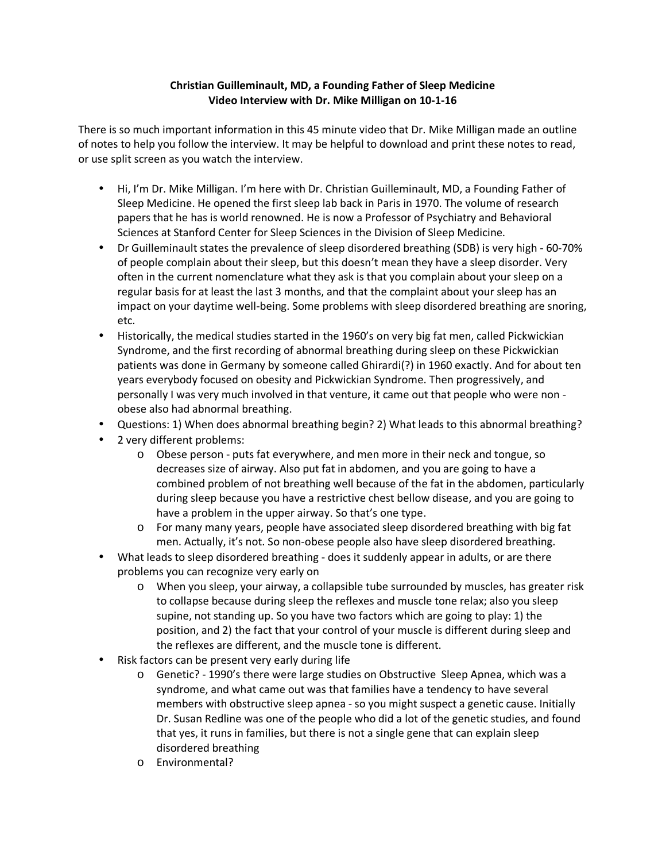## Christian Guilleminault, MD, a Founding Father of Sleep Medicine Video Interview with Dr. Mike Milligan on 10-1-16

There is so much important information in this 45 minute video that Dr. Mike Milligan made an outline of notes to help you follow the interview. It may be helpful to download and print these notes to read, or use split screen as you watch the interview.

- Hi, I'm Dr. Mike Milligan. I'm here with Dr. Christian Guilleminault, MD, a Founding Father of Sleep Medicine. He opened the first sleep lab back in Paris in 1970. The volume of research papers that he has is world renowned. He is now a Professor of Psychiatry and Behavioral Sciences at Stanford Center for Sleep Sciences in the Division of Sleep Medicine.
- Dr Guilleminault states the prevalence of sleep disordered breathing (SDB) is very high 60-70% of people complain about their sleep, but this doesn't mean they have a sleep disorder. Very often in the current nomenclature what they ask is that you complain about your sleep on a regular basis for at least the last 3 months, and that the complaint about your sleep has an impact on your daytime well-being. Some problems with sleep disordered breathing are snoring, etc.
- Historically, the medical studies started in the 1960's on very big fat men, called Pickwickian Syndrome, and the first recording of abnormal breathing during sleep on these Pickwickian patients was done in Germany by someone called Ghirardi(?) in 1960 exactly. And for about ten years everybody focused on obesity and Pickwickian Syndrome. Then progressively, and personally I was very much involved in that venture, it came out that people who were non obese also had abnormal breathing.
- Questions: 1) When does abnormal breathing begin? 2) What leads to this abnormal breathing?
- 2 very different problems:
	- o Obese person puts fat everywhere, and men more in their neck and tongue, so decreases size of airway. Also put fat in abdomen, and you are going to have a combined problem of not breathing well because of the fat in the abdomen, particularly during sleep because you have a restrictive chest bellow disease, and you are going to have a problem in the upper airway. So that's one type.
	- For many many years, people have associated sleep disordered breathing with big fat men. Actually, it's not. So non-obese people also have sleep disordered breathing.
- What leads to sleep disordered breathing does it suddenly appear in adults, or are there problems you can recognize very early on
	- o When you sleep, your airway, a collapsible tube surrounded by muscles, has greater risk to collapse because during sleep the reflexes and muscle tone relax; also you sleep supine, not standing up. So you have two factors which are going to play: 1) the position, and 2) the fact that your control of your muscle is different during sleep and the reflexes are different, and the muscle tone is different.
- Risk factors can be present very early during life
	- o Genetic? 1990's there were large studies on Obstructive Sleep Apnea, which was a syndrome, and what came out was that families have a tendency to have several members with obstructive sleep apnea - so you might suspect a genetic cause. Initially Dr. Susan Redline was one of the people who did a lot of the genetic studies, and found that yes, it runs in families, but there is not a single gene that can explain sleep disordered breathing
	- o Environmental?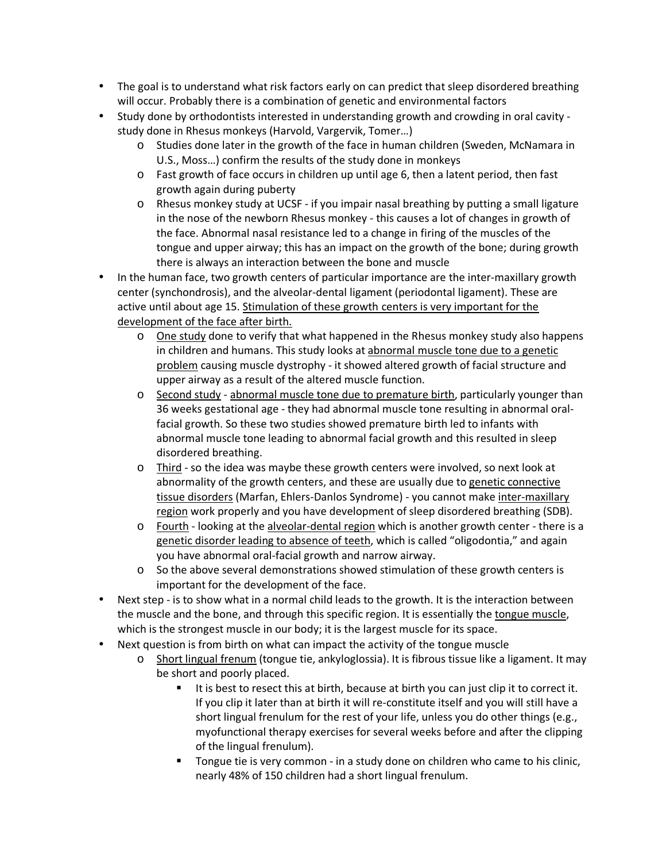- The goal is to understand what risk factors early on can predict that sleep disordered breathing will occur. Probably there is a combination of genetic and environmental factors
- Study done by orthodontists interested in understanding growth and crowding in oral cavity study done in Rhesus monkeys (Harvold, Vargervik, Tomer…)
	- o Studies done later in the growth of the face in human children (Sweden, McNamara in U.S., Moss…) confirm the results of the study done in monkeys
	- o Fast growth of face occurs in children up until age 6, then a latent period, then fast growth again during puberty
	- o Rhesus monkey study at UCSF if you impair nasal breathing by putting a small ligature in the nose of the newborn Rhesus monkey - this causes a lot of changes in growth of the face. Abnormal nasal resistance led to a change in firing of the muscles of the tongue and upper airway; this has an impact on the growth of the bone; during growth there is always an interaction between the bone and muscle
- In the human face, two growth centers of particular importance are the inter-maxillary growth center (synchondrosis), and the alveolar-dental ligament (periodontal ligament). These are active until about age 15. Stimulation of these growth centers is very important for the development of the face after birth.
	- $\circ$  One study done to verify that what happened in the Rhesus monkey study also happens in children and humans. This study looks at abnormal muscle tone due to a genetic problem causing muscle dystrophy - it showed altered growth of facial structure and upper airway as a result of the altered muscle function.
	- o Second study abnormal muscle tone due to premature birth, particularly younger than 36 weeks gestational age - they had abnormal muscle tone resulting in abnormal oralfacial growth. So these two studies showed premature birth led to infants with abnormal muscle tone leading to abnormal facial growth and this resulted in sleep disordered breathing.
	- o Third so the idea was maybe these growth centers were involved, so next look at abnormality of the growth centers, and these are usually due to genetic connective tissue disorders (Marfan, Ehlers-Danlos Syndrome) - you cannot make inter-maxillary region work properly and you have development of sleep disordered breathing (SDB).
	- o Fourth looking at the alveolar-dental region which is another growth center there is a genetic disorder leading to absence of teeth, which is called "oligodontia," and again you have abnormal oral-facial growth and narrow airway.
	- o So the above several demonstrations showed stimulation of these growth centers is important for the development of the face.
- Next step is to show what in a normal child leads to the growth. It is the interaction between the muscle and the bone, and through this specific region. It is essentially the tongue muscle, which is the strongest muscle in our body; it is the largest muscle for its space.
	- Next question is from birth on what can impact the activity of the tongue muscle
		- o Short lingual frenum (tongue tie, ankyloglossia). It is fibrous tissue like a ligament. It may be short and poorly placed.
			- It is best to resect this at birth, because at birth you can just clip it to correct it. If you clip it later than at birth it will re-constitute itself and you will still have a short lingual frenulum for the rest of your life, unless you do other things (e.g., myofunctional therapy exercises for several weeks before and after the clipping of the lingual frenulum).
			- Tongue tie is very common in a study done on children who came to his clinic, nearly 48% of 150 children had a short lingual frenulum.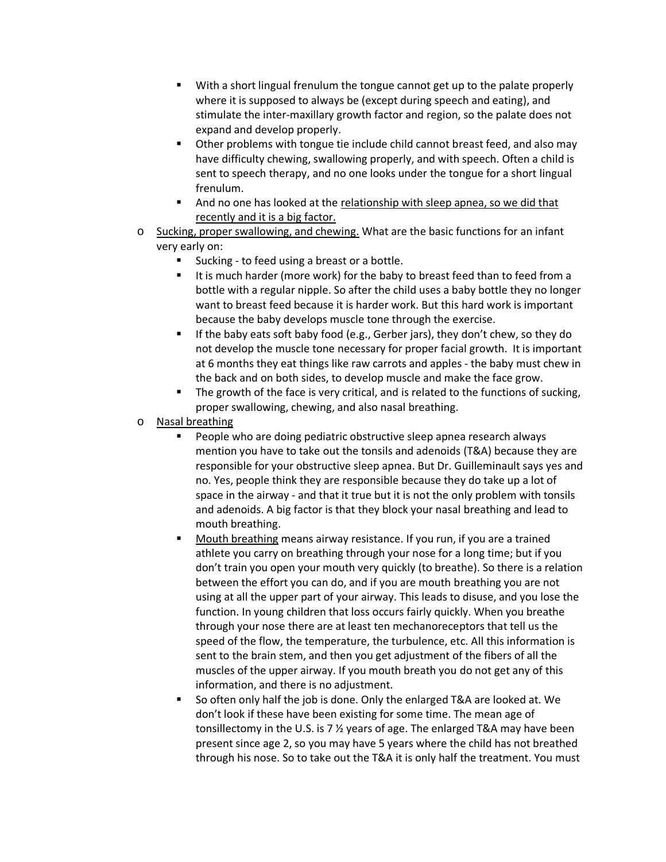- With a short lingual frenulum the tongue cannot get up to the palate properly where it is supposed to always be (except during speech and eating), and stimulate the inter-maxillary growth factor and region, so the palate does not expand and develop properly.
- Other problems with tongue tie include child cannot breast feed, and also may have difficulty chewing, swallowing properly, and with speech. Often a child is sent to speech therapy, and no one looks under the tongue for a short lingual frenulum.
- And no one has looked at the relationship with sleep apnea, so we did that recently and it is a big factor.
- Sucking, proper swallowing, and chewing. What are the basic functions for an infant very early on:
	- Sucking to feed using a breast or a bottle.
	- It is much harder (more work) for the baby to breast feed than to feed from a bottle with a regular nipple. So after the child uses a baby bottle they no longer want to breast feed because it is harder work. But this hard work is important because the baby develops muscle tone through the exercise.
	- If the baby eats soft baby food (e.g., Gerber jars), they don't chew, so they do not develop the muscle tone necessary for proper facial growth. It is important at 6 months they eat things like raw carrots and apples - the baby must chew in the back and on both sides, to develop muscle and make the face grow.
	- The growth of the face is very critical, and is related to the functions of sucking, proper swallowing, chewing, and also nasal breathing.
- o Nasal breathing
	- People who are doing pediatric obstructive sleep apnea research always mention you have to take out the tonsils and adenoids (T&A) because they are responsible for your obstructive sleep apnea. But Dr. Guilleminault says yes and no. Yes, people think they are responsible because they do take up a lot of space in the airway - and that it true but it is not the only problem with tonsils and adenoids. A big factor is that they block your nasal breathing and lead to mouth breathing.
	- Mouth breathing means airway resistance. If you run, if you are a trained athlete you carry on breathing through your nose for a long time; but if you don't train you open your mouth very quickly (to breathe). So there is a relation between the effort you can do, and if you are mouth breathing you are not using at all the upper part of your airway. This leads to disuse, and you lose the function. In young children that loss occurs fairly quickly. When you breathe through your nose there are at least ten mechanoreceptors that tell us the speed of the flow, the temperature, the turbulence, etc. All this information is sent to the brain stem, and then you get adjustment of the fibers of all the muscles of the upper airway. If you mouth breath you do not get any of this information, and there is no adjustment.
	- So often only half the job is done. Only the enlarged T&A are looked at. We don't look if these have been existing for some time. The mean age of tonsillectomy in the U.S. is 7 ½ years of age. The enlarged T&A may have been present since age 2, so you may have 5 years where the child has not breathed through his nose. So to take out the T&A it is only half the treatment. You must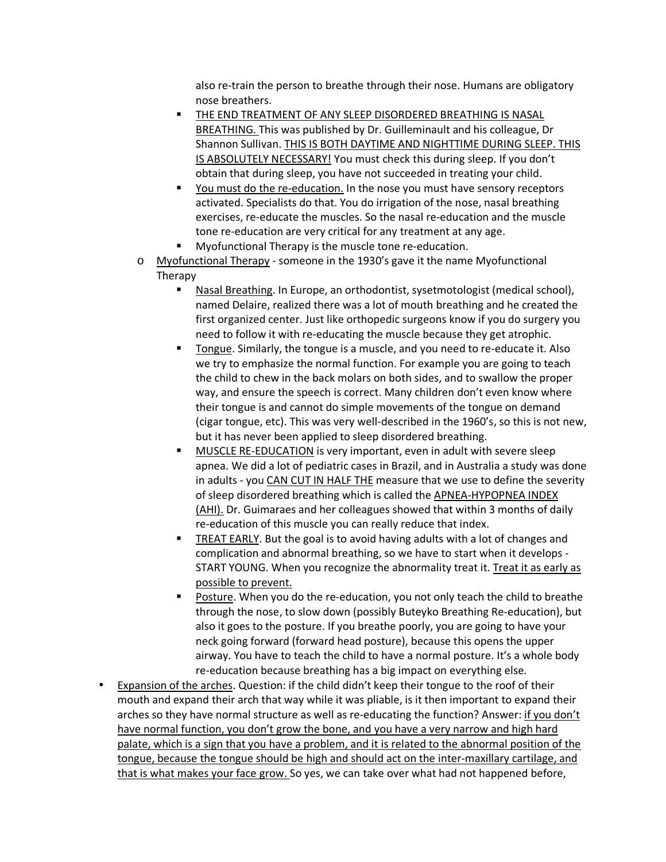also re-train the person to breathe through their nose. Humans are obligatory nose breathers.

- THE END TREATMENT OF ANY SLEEP DISORDERED BREATHING IS NASAL BREATHING. This was published by Dr. Guilleminault and his colleague, Dr Shannon Sullivan. THIS IS BOTH DAYTIME AND NIGHTTIME DURING SLEEP. THIS IS ABSOLUTELY NECESSARY! You must check this during sleep. If you don't obtain that during sleep, you have not succeeded in treating your child.
- You must do the re-education. In the nose you must have sensory receptors activated. Specialists do that. You do irrigation of the nose, nasal breathing exercises, re-educate the muscles. So the nasal re-education and the muscle tone re-education are very critical for any treatment at any age.
- Myofunctional Therapy is the muscle tone re-education.
- o Myofunctional Therapy someone in the 1930's gave it the name Myofunctional Therapy
	- Nasal Breathing. In Europe, an orthodontist, sysetmotologist (medical school), named Delaire, realized there was a lot of mouth breathing and he created the first organized center. Just like orthopedic surgeons know if you do surgery you need to follow it with re-educating the muscle because they get atrophic.
	- Tongue. Similarly, the tongue is a muscle, and you need to re-educate it. Also we try to emphasize the normal function. For example you are going to teach the child to chew in the back molars on both sides, and to swallow the proper way, and ensure the speech is correct. Many children don't even know where their tongue is and cannot do simple movements of the tongue on demand (cigar tongue, etc). This was very well-described in the 1960's, so this is not new, but it has never been applied to sleep disordered breathing.
	- MUSCLE RE-EDUCATION is very important, even in adult with severe sleep apnea. We did a lot of pediatric cases in Brazil, and in Australia a study was done in adults - you CAN CUT IN HALF THE measure that we use to define the severity of sleep disordered breathing which is called the APNEA-HYPOPNEA INDEX (AHI). Dr. Guimaraes and her colleagues showed that within 3 months of daily re-education of this muscle you can really reduce that index.
	- TREAT EARLY. But the goal is to avoid having adults with a lot of changes and complication and abnormal breathing, so we have to start when it develops - START YOUNG. When you recognize the abnormality treat it. Treat it as early as possible to prevent.
	- Posture. When you do the re-education, you not only teach the child to breathe through the nose, to slow down (possibly Buteyko Breathing Re-education), but also it goes to the posture. If you breathe poorly, you are going to have your neck going forward (forward head posture), because this opens the upper airway. You have to teach the child to have a normal posture. It's a whole body re-education because breathing has a big impact on everything else.
- Expansion of the arches. Question: if the child didn't keep their tongue to the roof of their mouth and expand their arch that way while it was pliable, is it then important to expand their arches so they have normal structure as well as re-educating the function? Answer: if you don't have normal function, you don't grow the bone, and you have a very narrow and high hard palate, which is a sign that you have a problem, and it is related to the abnormal position of the tongue, because the tongue should be high and should act on the inter-maxillary cartilage, and that is what makes your face grow. So yes, we can take over what had not happened before,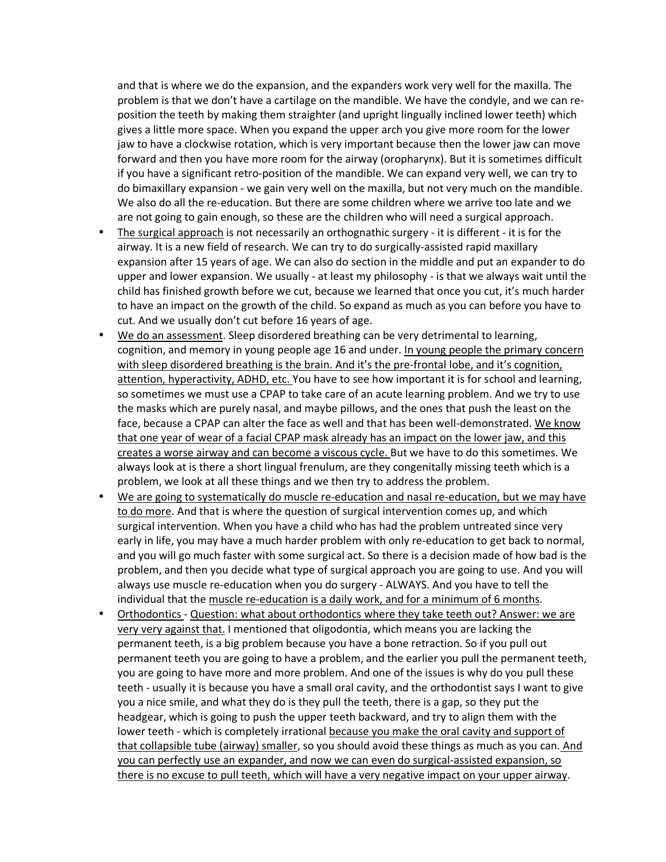and that is where we do the expansion, and the expanders work very well for the maxilla. The problem is that we don't have a cartilage on the mandible. We have the condyle, and we can reposition the teeth by making them straighter (and upright lingually inclined lower teeth) which gives a little more space. When you expand the upper arch you give more room for the lower jaw to have a clockwise rotation, which is very important because then the lower jaw can move forward and then you have more room for the airway (oropharynx). But it is sometimes difficult if you have a significant retro-position of the mandible. We can expand very well, we can try to do bimaxillary expansion - we gain very well on the maxilla, but not very much on the mandible. We also do all the re-education. But there are some children where we arrive too late and we are not going to gain enough, so these are the children who will need a surgical approach.

- The surgical approach is not necessarily an orthognathic surgery it is different it is for the airway. It is a new field of research. We can try to do surgically-assisted rapid maxillary expansion after 15 years of age. We can also do section in the middle and put an expander to do upper and lower expansion. We usually - at least my philosophy - is that we always wait until the child has finished growth before we cut, because we learned that once you cut, it's much harder to have an impact on the growth of the child. So expand as much as you can before you have to cut. And we usually don't cut before 16 years of age.
- We do an assessment. Sleep disordered breathing can be very detrimental to learning, cognition, and memory in young people age 16 and under. In young people the primary concern with sleep disordered breathing is the brain. And it's the pre-frontal lobe, and it's cognition, attention, hyperactivity, ADHD, etc. You have to see how important it is for school and learning, so sometimes we must use a CPAP to take care of an acute learning problem. And we try to use the masks which are purely nasal, and maybe pillows, and the ones that push the least on the face, because a CPAP can alter the face as well and that has been well-demonstrated. We know that one year of wear of a facial CPAP mask already has an impact on the lower jaw, and this creates a worse airway and can become a viscous cycle. But we have to do this sometimes. We always look at is there a short lingual frenulum, are they congenitally missing teeth which is a problem, we look at all these things and we then try to address the problem.
- We are going to systematically do muscle re-education and nasal re-education, but we may have to do more. And that is where the question of surgical intervention comes up, and which surgical intervention. When you have a child who has had the problem untreated since very early in life, you may have a much harder problem with only re-education to get back to normal, and you will go much faster with some surgical act. So there is a decision made of how bad is the problem, and then you decide what type of surgical approach you are going to use. And you will always use muscle re-education when you do surgery - ALWAYS. And you have to tell the individual that the muscle re-education is a daily work, and for a minimum of 6 months.
- Orthodontics Question: what about orthodontics where they take teeth out? Answer: we are very very against that. I mentioned that oligodontia, which means you are lacking the permanent teeth, is a big problem because you have a bone retraction. So if you pull out permanent teeth you are going to have a problem, and the earlier you pull the permanent teeth, you are going to have more and more problem. And one of the issues is why do you pull these teeth - usually it is because you have a small oral cavity, and the orthodontist says I want to give you a nice smile, and what they do is they pull the teeth, there is a gap, so they put the headgear, which is going to push the upper teeth backward, and try to align them with the lower teeth - which is completely irrational because you make the oral cavity and support of that collapsible tube (airway) smaller, so you should avoid these things as much as you can. And you can perfectly use an expander, and now we can even do surgical-assisted expansion, so there is no excuse to pull teeth, which will have a very negative impact on your upper airway.